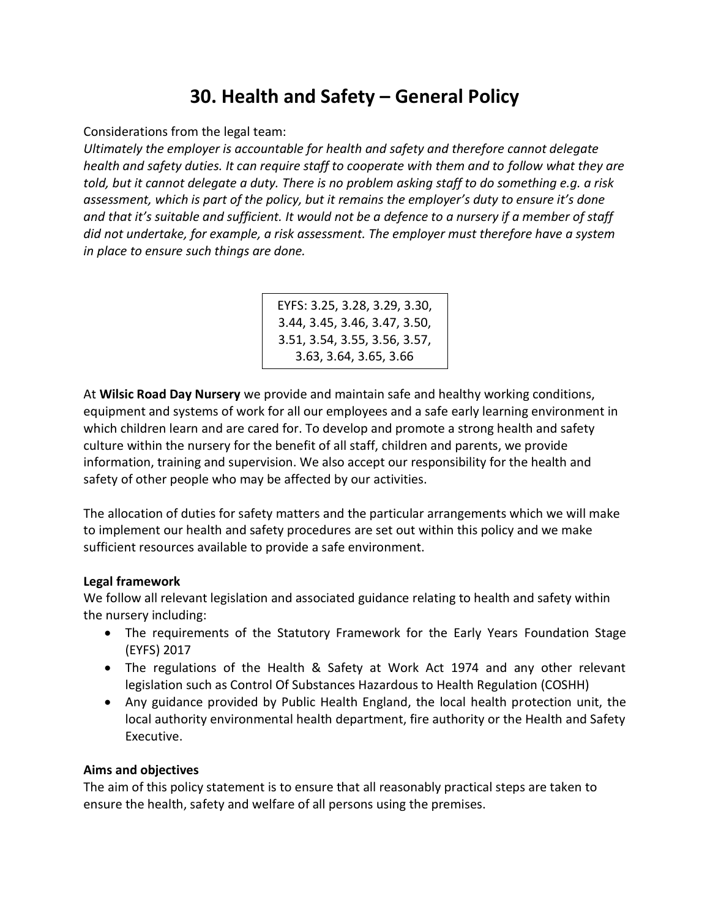# **30. Health and Safety – General Policy**

Considerations from the legal team:

*Ultimately the employer is accountable for health and safety and therefore cannot delegate health and safety duties. It can require staff to cooperate with them and to follow what they are told, but it cannot delegate a duty. There is no problem asking staff to do something e.g. a risk assessment, which is part of the policy, but it remains the employer's duty to ensure it's done and that it's suitable and sufficient. It would not be a defence to a nursery if a member of staff did not undertake, for example, a risk assessment. The employer must therefore have a system in place to ensure such things are done.*

> EYFS: 3.25, 3.28, 3.29, 3.30, 3.44, 3.45, 3.46, 3.47, 3.50, 3.51, 3.54, 3.55, 3.56, 3.57, 3.63, 3.64, 3.65, 3.66

At **Wilsic Road Day Nursery** we provide and maintain safe and healthy working conditions, equipment and systems of work for all our employees and a safe early learning environment in which children learn and are cared for. To develop and promote a strong health and safety culture within the nursery for the benefit of all staff, children and parents, we provide information, training and supervision. We also accept our responsibility for the health and safety of other people who may be affected by our activities.

The allocation of duties for safety matters and the particular arrangements which we will make to implement our health and safety procedures are set out within this policy and we make sufficient resources available to provide a safe environment.

## **Legal framework**

We follow all relevant legislation and associated guidance relating to health and safety within the nursery including:

- The requirements of the Statutory Framework for the Early Years Foundation Stage (EYFS) 2017
- The regulations of the Health & Safety at Work Act 1974 and any other relevant legislation such as Control Of Substances Hazardous to Health Regulation (COSHH)
- Any guidance provided by Public Health England, the local health protection unit, the local authority environmental health department, fire authority or the Health and Safety Executive.

## **Aims and objectives**

The aim of this policy statement is to ensure that all reasonably practical steps are taken to ensure the health, safety and welfare of all persons using the premises.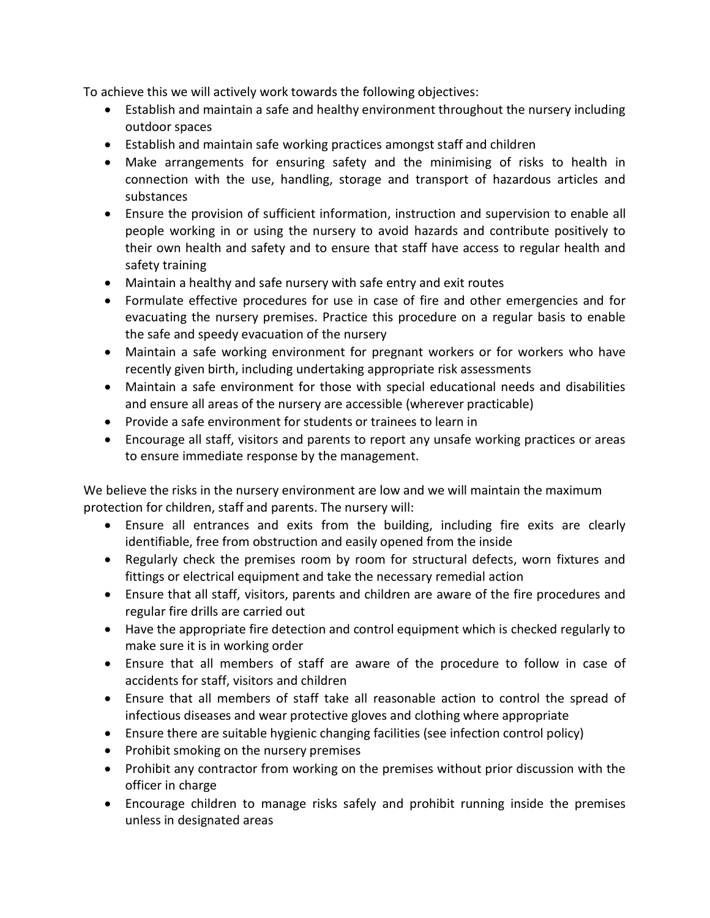To achieve this we will actively work towards the following objectives:

- Establish and maintain a safe and healthy environment throughout the nursery including outdoor spaces
- Establish and maintain safe working practices amongst staff and children
- Make arrangements for ensuring safety and the minimising of risks to health in connection with the use, handling, storage and transport of hazardous articles and substances
- Ensure the provision of sufficient information, instruction and supervision to enable all people working in or using the nursery to avoid hazards and contribute positively to their own health and safety and to ensure that staff have access to regular health and safety training
- Maintain a healthy and safe nursery with safe entry and exit routes
- Formulate effective procedures for use in case of fire and other emergencies and for evacuating the nursery premises. Practice this procedure on a regular basis to enable the safe and speedy evacuation of the nursery
- Maintain a safe working environment for pregnant workers or for workers who have recently given birth, including undertaking appropriate risk assessments
- Maintain a safe environment for those with special educational needs and disabilities and ensure all areas of the nursery are accessible (wherever practicable)
- Provide a safe environment for students or trainees to learn in
- Encourage all staff, visitors and parents to report any unsafe working practices or areas to ensure immediate response by the management.

We believe the risks in the nursery environment are low and we will maintain the maximum protection for children, staff and parents. The nursery will:

- Ensure all entrances and exits from the building, including fire exits are clearly identifiable, free from obstruction and easily opened from the inside
- Regularly check the premises room by room for structural defects, worn fixtures and fittings or electrical equipment and take the necessary remedial action
- Ensure that all staff, visitors, parents and children are aware of the fire procedures and regular fire drills are carried out
- Have the appropriate fire detection and control equipment which is checked regularly to make sure it is in working order
- Ensure that all members of staff are aware of the procedure to follow in case of accidents for staff, visitors and children
- Ensure that all members of staff take all reasonable action to control the spread of infectious diseases and wear protective gloves and clothing where appropriate
- Ensure there are suitable hygienic changing facilities (see infection control policy)
- Prohibit smoking on the nursery premises
- Prohibit any contractor from working on the premises without prior discussion with the officer in charge
- Encourage children to manage risks safely and prohibit running inside the premises unless in designated areas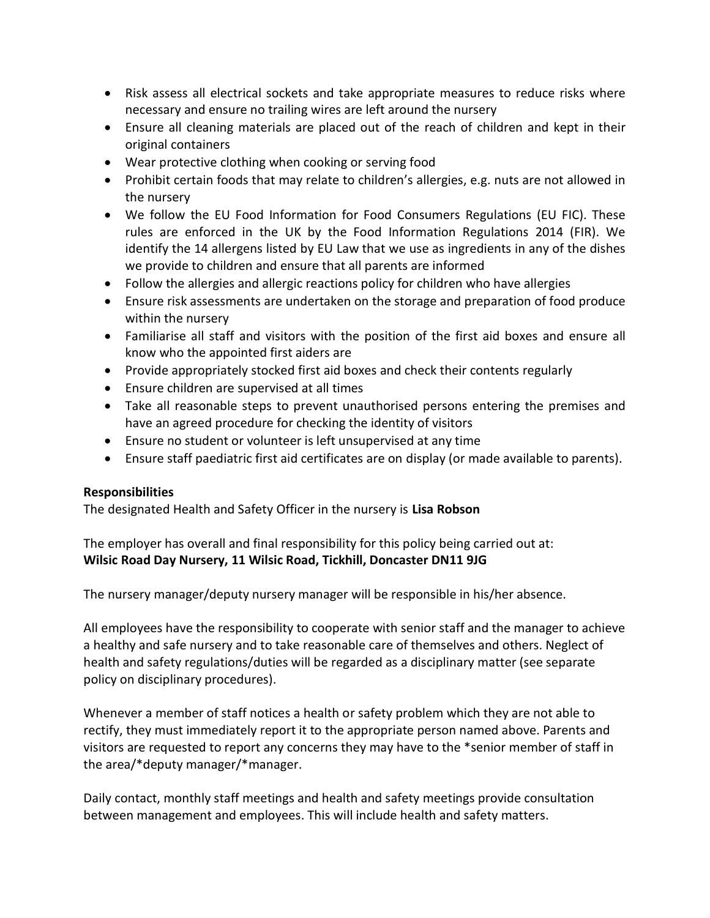- Risk assess all electrical sockets and take appropriate measures to reduce risks where necessary and ensure no trailing wires are left around the nursery
- Ensure all cleaning materials are placed out of the reach of children and kept in their original containers
- Wear protective clothing when cooking or serving food
- Prohibit certain foods that may relate to children's allergies, e.g. nuts are not allowed in the nursery
- We follow the EU Food Information for Food Consumers Regulations (EU FIC). These rules are enforced in the UK by the Food Information Regulations 2014 (FIR). We identify the 14 allergens listed by EU Law that we use as ingredients in any of the dishes we provide to children and ensure that all parents are informed
- Follow the allergies and allergic reactions policy for children who have allergies
- Ensure risk assessments are undertaken on the storage and preparation of food produce within the nursery
- Familiarise all staff and visitors with the position of the first aid boxes and ensure all know who the appointed first aiders are
- Provide appropriately stocked first aid boxes and check their contents regularly
- Ensure children are supervised at all times
- Take all reasonable steps to prevent unauthorised persons entering the premises and have an agreed procedure for checking the identity of visitors
- Ensure no student or volunteer is left unsupervised at any time
- Ensure staff paediatric first aid certificates are on display (or made available to parents).

## **Responsibilities**

The designated Health and Safety Officer in the nursery is **Lisa Robson**

The employer has overall and final responsibility for this policy being carried out at: **Wilsic Road Day Nursery, 11 Wilsic Road, Tickhill, Doncaster DN11 9JG**

The nursery manager/deputy nursery manager will be responsible in his/her absence.

All employees have the responsibility to cooperate with senior staff and the manager to achieve a healthy and safe nursery and to take reasonable care of themselves and others. Neglect of health and safety regulations/duties will be regarded as a disciplinary matter (see separate policy on disciplinary procedures).

Whenever a member of staff notices a health or safety problem which they are not able to rectify, they must immediately report it to the appropriate person named above. Parents and visitors are requested to report any concerns they may have to the \*senior member of staff in the area/\*deputy manager/\*manager.

Daily contact, monthly staff meetings and health and safety meetings provide consultation between management and employees. This will include health and safety matters.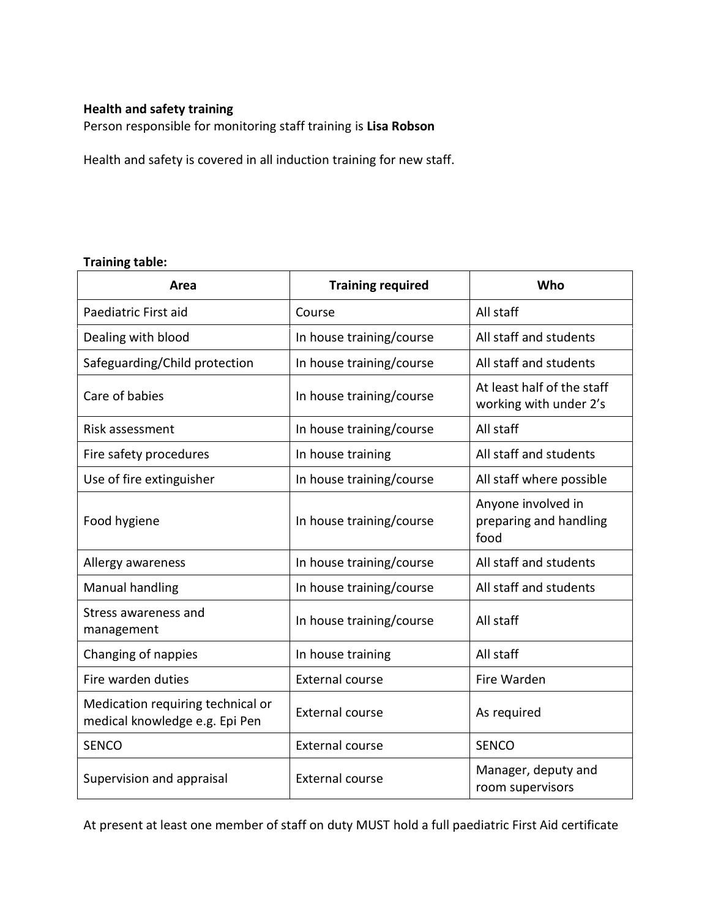#### **Health and safety training**

Person responsible for monitoring staff training is **Lisa Robson**

Health and safety is covered in all induction training for new staff.

#### **Training table:**

| Area                                                                | <b>Training required</b> | Who                                                  |
|---------------------------------------------------------------------|--------------------------|------------------------------------------------------|
| Paediatric First aid                                                | Course                   | All staff                                            |
| Dealing with blood                                                  | In house training/course | All staff and students                               |
| Safeguarding/Child protection                                       | In house training/course | All staff and students                               |
| Care of babies                                                      | In house training/course | At least half of the staff<br>working with under 2's |
| Risk assessment                                                     | In house training/course | All staff                                            |
| Fire safety procedures                                              | In house training        | All staff and students                               |
| Use of fire extinguisher                                            | In house training/course | All staff where possible                             |
| Food hygiene                                                        | In house training/course | Anyone involved in<br>preparing and handling<br>food |
| Allergy awareness                                                   | In house training/course | All staff and students                               |
| <b>Manual handling</b>                                              | In house training/course | All staff and students                               |
| Stress awareness and<br>management                                  | In house training/course | All staff                                            |
| Changing of nappies                                                 | In house training        | All staff                                            |
| Fire warden duties                                                  | <b>External course</b>   | Fire Warden                                          |
| Medication requiring technical or<br>medical knowledge e.g. Epi Pen | <b>External course</b>   | As required                                          |
| <b>SENCO</b>                                                        | <b>External course</b>   | <b>SENCO</b>                                         |
| Supervision and appraisal                                           | <b>External course</b>   | Manager, deputy and<br>room supervisors              |

At present at least one member of staff on duty MUST hold a full paediatric First Aid certificate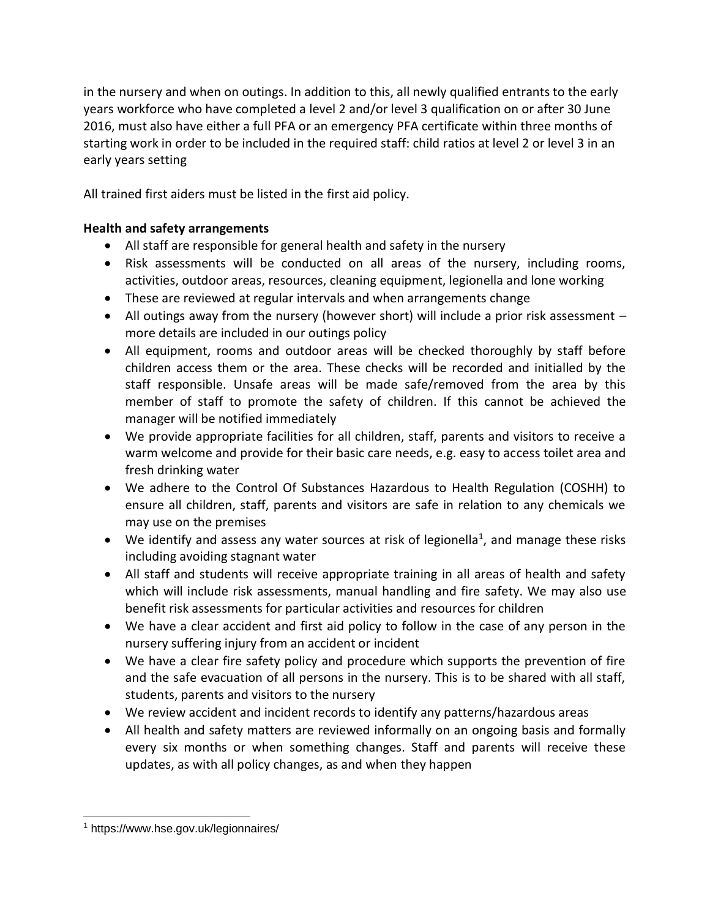in the nursery and when on outings. In addition to this, all newly qualified entrants to the early years workforce who have completed a level 2 and/or level 3 qualification on or after 30 June 2016, must also have either a full PFA or an emergency PFA certificate within three months of starting work in order to be included in the required staff: child ratios at level 2 or level 3 in an early years setting

All trained first aiders must be listed in the first aid policy.

## **Health and safety arrangements**

- All staff are responsible for general health and safety in the nursery
- Risk assessments will be conducted on all areas of the nursery, including rooms, activities, outdoor areas, resources, cleaning equipment, legionella and lone working
- These are reviewed at regular intervals and when arrangements change
- All outings away from the nursery (however short) will include a prior risk assessment more details are included in our outings policy
- All equipment, rooms and outdoor areas will be checked thoroughly by staff before children access them or the area. These checks will be recorded and initialled by the staff responsible. Unsafe areas will be made safe/removed from the area by this member of staff to promote the safety of children. If this cannot be achieved the manager will be notified immediately
- We provide appropriate facilities for all children, staff, parents and visitors to receive a warm welcome and provide for their basic care needs, e.g. easy to access toilet area and fresh drinking water
- We adhere to the Control Of Substances Hazardous to Health Regulation (COSHH) to ensure all children, staff, parents and visitors are safe in relation to any chemicals we may use on the premises
- We identify and assess any water sources at risk of legionella<sup>1</sup>, and manage these risks including avoiding stagnant water
- All staff and students will receive appropriate training in all areas of health and safety which will include risk assessments, manual handling and fire safety. We may also use benefit risk assessments for particular activities and resources for children
- We have a clear accident and first aid policy to follow in the case of any person in the nursery suffering injury from an accident or incident
- We have a clear fire safety policy and procedure which supports the prevention of fire and the safe evacuation of all persons in the nursery. This is to be shared with all staff, students, parents and visitors to the nursery
- We review accident and incident records to identify any patterns/hazardous areas
- All health and safety matters are reviewed informally on an ongoing basis and formally every six months or when something changes. Staff and parents will receive these updates, as with all policy changes, as and when they happen

<sup>1</sup> https://www.hse.gov.uk/legionnaires/